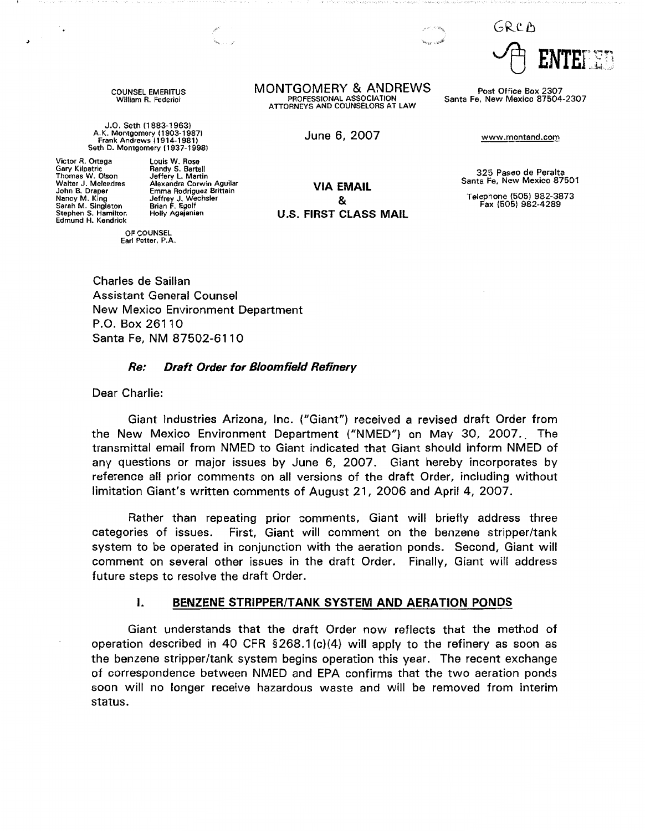GRCD

COUNSEL EMERITUS William R. Federici

J.O. Seth (1883-1963) A.K. Montgomery (1903-19871 Frank Andrews ( 1914-1981 ) Seth D. Montgomery (1937-1998)

Victor R. Ortega Gary Kilpatric Thomas W. Olson Walter J. Melendres John B. Draper Nancy M. King Sarah M. Singleton Stephen S. Hamilton Edmund H. Kendrick

>

OF COUNSEL Earl Potter, P.A. **MONTGOMERY & ANDREWS** Post Office Box 2307<br>PROFESSIONAL ASSOCIATION Santa Fe, New Mexico 87504 ATTORNEYS AND COUNSELORS AT LAW

June 6, 2007 www.montand.com

**VIA EMAIL**  &

Santa Fe, New Mexico 87504-2307

325 Paseo de Peralta Santa Fe, New Mexico 87501

Telephone (505) 982-3873 Fax (505) 982-4289

Charles de Saillan Assistant General Counsel New Mexico Environment Department P.O. Box 26110 Santa Fe, NM 87502-6110

#### **Re: Draft Order for Bloomfield Refinery**

Dear Charlie:

Giant Industries Arizona, Inc. ("Giant") received a revised draft Order from the New Mexico Environment Department ("NMED"} on May 30, 2007.. The transmittal email from NMED to Giant indicated that Giant should inform NMED of any questions or major issues by June 6, 2007. Giant hereby incorporates by reference all prior comments on all versions of the draft Order, including without limitation Giant's written comments of August 21, 2006 and April 4, 2007.

Rather than repeating prior comments, Giant will briefly address three categories of issues. First, Giant will comment on the benzene stripper/tank system to be operated in conjunction with the aeration ponds. Second, Giant will comment on several other issues in the draft Order. Finally, Giant will address future steps to resolve the draft Order.

#### I. **BENZENE STRIPPER/TANK SYSTEM AND AERATION PONDS**

Giant understands that the draft Order now reflects that the method of operation described in 40 CFR § 268.1 (c)(4} will apply to the refinery as soon as the benzene stripper/tank system begins operation this year. The recent exchange of correspondence between NMED and EPA confirms that the two aeration ponds soon will no longer receive hazardous waste and will be removed from interim status.

Louis W. Rose Randy S. Bartell Jeffery L. Martin Alexandra Corwin Aguilar Emma Rodriguez Brittain Jeffrey J. Wechsler Brian F. Egolf Holly Agajanian **U.S. FIRST CLASS MAIL**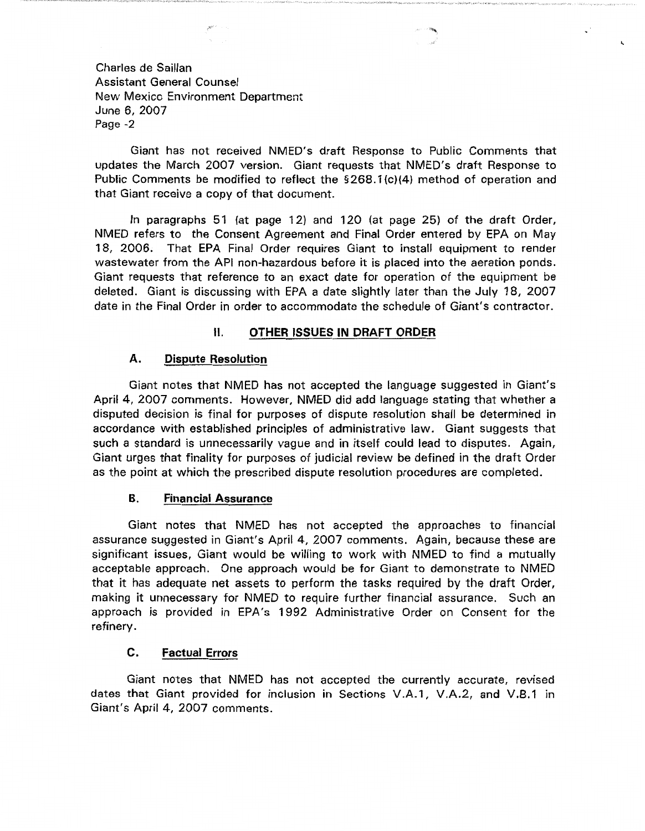Giant has not received NMED's draft Response to Public Comments that updates the March 2007 version. Giant requests that NMED's draft Response to Public Comments be modified to reflect the §268.1 {c)(4) method of operation and that Giant receive a copy of that document.

In paragraphs  $51$  (at page 12) and 120 (at page 25) of the draft Order, NMED refers to the Consent Agreement and Final Order entered by EPA on May 18, 2006. That EPA Final Order requires Giant to install equipment to render wastewater from the API non-hazardous before it is placed into the aeration ponds. Giant requests that reference to an exact date for operation of the equipment be deleted. Giant is discussing with EPA a date slightly later than the July 18, 2007 date in the Final Order in order to accommodate the schedule of Giant's contractor.

# **11. OTHER ISSUES IN DRAFT ORDER**

# **A. Dispute Resolution**

Giant notes that NMED has not accepted the language suggested in Giant's April 4, 2007 comments. However, NMED did add language stating that whether a disputed decision is final for purposes of dispute resolution shall be determined in accordance with established principles of administrative law. Giant suggests that such a standard is unnecessarily vague and in itself could lead to disputes. Again, Giant urges that finality for purposes of judicial review be defined in the draft Order as the point at which the prescribed dispute resolution procedures are completed.

# **B. Financial Assurance**

Giant notes that NMED has not accepted the approaches to financial assurance suggested in Giant's April 4, 2007 comments. Again, because these are significant issues, Giant would be willing to work with NMED to find a mutually acceptable approach. One approach would be for Giant to demonstrate to NMED that it has adequate net assets to perform the tasks required by the draft Order, making it unnecessary for NMED to require further financial assurance. Such an approach is provided in EPA's 1992 Administrative Order on Consent for the refinery.

# **C. Factual Errors**

Giant notes that NMED has not accepted the currently accurate, revised dates that Giant provided for inclusion in Sections V .A.1, V .A.2, and V .B.1 in Giant's April 4, 2007 comments.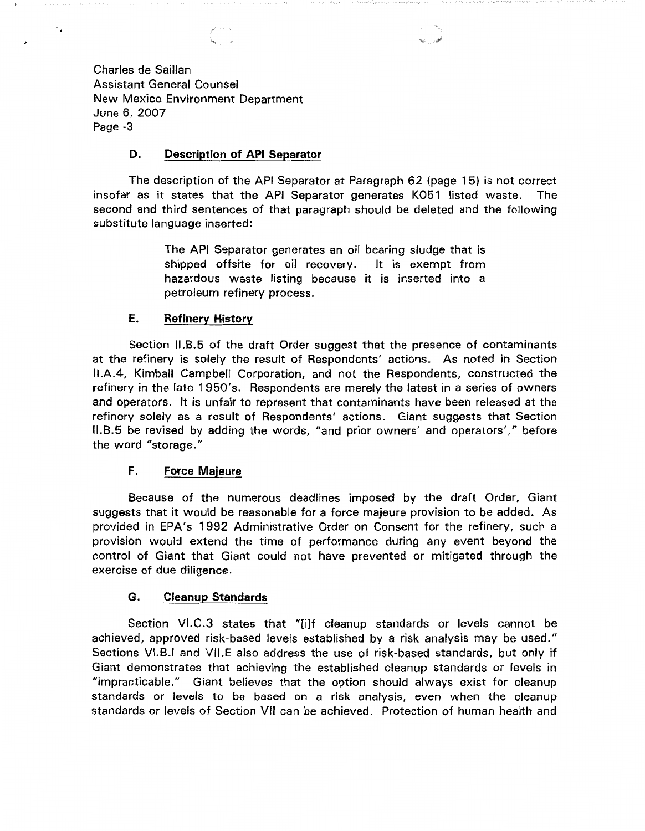Charles de Saillan Assistant General Counsel New Mexico Environment Department June 6, 2007 Page -3

 $\ddot{\phantom{0}}$ 

# **D. Description of API Separator**

The description of the API Separator at Paragraph 62 (page 15) is not correct insofar as it states that the API Separator generates K051 listed waste. The second and third sentences of that paragraph should be deleted and the following substitute language inserted:

> The API Separator generates an oil bearing sludge that is shipped offsite for oil recovery. It is exempt from hazardous waste listing because it is inserted into a petroleum refinery process.

#### **E. Refinery History**

Section I1.B.5 of the draft Order suggest that the presence of contaminants at the refinery is solely the result of Respondents' actions. As noted in Section I1.A.4, Kimball Campbell Corporation, and not the Respondents, constructed the refinery in the late 1950's. Respondents are merely the latest in a series of owners and operators. It is unfair to represent that contaminants have been released at the refinery solely as a result of Respondents' actions. Giant suggests that Section I1.B.5 be revised by adding the words, "and prior owners' and operators'," before the word "storage."

# **F. Force Majeure**

Because of the numerous deadlines imposed by the draft Order, Giant suggests that it would be reasonable for a force majeure provision to be added. As provided in EPA's 1992 Administrative Order on Consent for the refinery, such a provision would extend the time of performance during any event beyond the control of Giant that Giant could not have prevented or mitigated through the exercise of due diligence.

## **G. Cleanup Standards**

Section VI.C.3 states that "[i]f cleanup standards or levels cannot be achieved, approved risk-based levels established by a risk analysis may be used." Sections VI.B.I and VII.E also address the use of risk-based standards, but only if Giant demonstrates that achieving the established cleanup standards or levels in "impracticable." Giant believes that the option should always exist for cleanup standards or levels to be based on a risk analysis, even when the cleanup standards or levels of Section VII can be achieved. Protection of human health and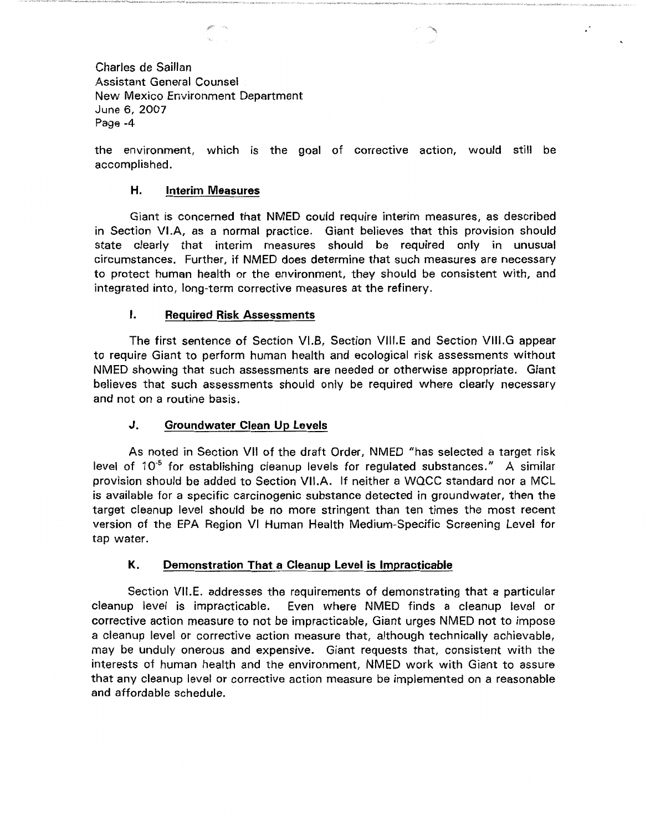Charles de Saillan Assistant General Counsel New Mexico Environment Department June 6, 2007 Page -4

the environment, which is the goal of corrective action, would still be accomplished.

### **H. Interim Measures**

Giant is concerned that NMED could require interim measures, as described in Section VI.A, as a normal practice. Giant believes that this provision should state clearly that interim measures should be required only in unusual circumstances. Further, if NMED does determine that such measures are necessary to protect human health or the environment, they should be consistent with, and integrated into, long-term corrective measures at the refinery.

### I. **Required Risk Assessments**

The first sentence of Section VI.B, Section VIII.E and Section VIII.G appear to require Giant to perform human health and ecological risk assessments without NMED showing that such assessments are needed or otherwise appropriate. Giant believes that such assessments should only be required where clearly necessary and not on a routine basis.

## **J. Groundwater Clean Up Levels**

As noted in Section VII of the draft Order, NMED "has selected a target risk level of  $10^{-5}$  for establishing cleanup levels for regulated substances." A similar provision should be added to Section **VII.A.** If neither a WQCC standard nor a MCL is available for a specific carcinogenic substance detected in groundwater, then the target cleanup level should be no more stringent than ten times the most recent version of the EPA Region VI Human Health Medium-Specific Screening Level for tap water.

# **K. Demonstration That a Cleanup Level is Impracticable**

Section VILE. addresses the requirements of demonstrating that a particular cleanup level is impracticable. Even where NMED finds a cleanup level or corrective action measure to not be impracticable, Giant urges NMED not to impose a cleanup level or corrective action measure that, although technically achievable, may be unduly onerous and expensive. Giant requests that, consistent with the interests of human health and the environment, NMED work with Giant to assure that any cleanup level or corrective action measure be implemented on a reasonable and affordable schedule.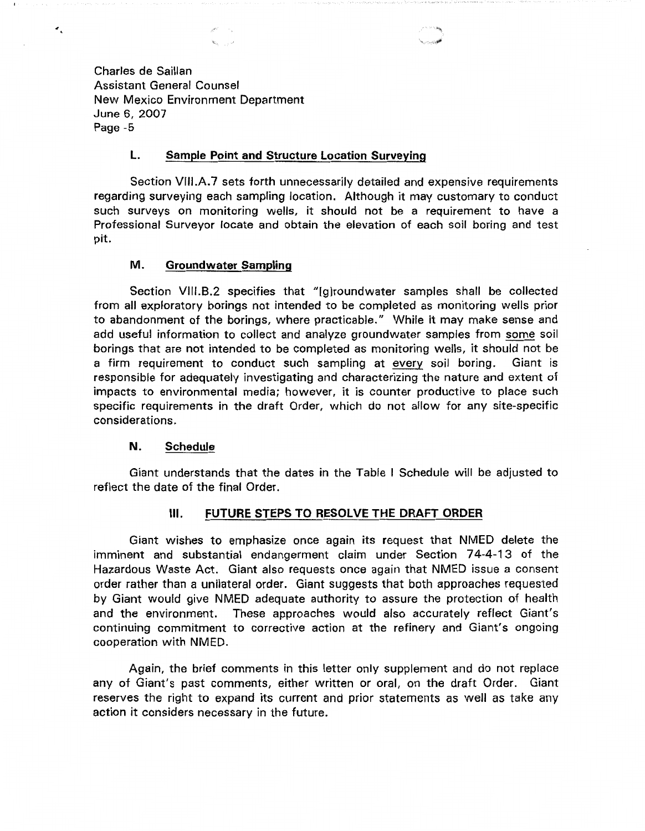Charles de Saillan Assistant General Counsel New Mexico Environment Department June 6, 2007 Page -5

 $\epsilon_i$ 

#### **L. Sample Point and Structure Location Surveying**

Section VIII.A.7 sets forth unnecessarily detailed and expensive requirements regarding surveying each sampling location. Although it may customary to conduct such surveys on monitoring wells, it should not be a requirement to have a Professional Surveyor locate and obtain the elevation of each soil boring and test pit.

### **M. Groundwater Sampling**

Section VIII.B.2 specifies that "[g]roundwater samples shall be collected from all exploratory borings not intended to be completed as monitoring wells prior to abandonment of the borings, where practicable." While it may make sense and add useful information to collect and analyze groundwater samples from some soil borings that are not intended to be completed as monitoring wells, it should not be a firm requirement to conduct such sampling at every soil boring. Giant is responsible for adequately investigating and characterizing the nature and extent of impacts to environmental media; however, it is counter productive to place such specific requirements in the draft Order, which do not allow for any site-specific considerations.

#### **N. Schedule**

Giant understands that the dates in the Table I Schedule will be adjusted to reflect the date of the final Order.

## Ill. **FUTURE STEPS TO RESOLVE THE DRAFT ORDER**

Giant wishes to emphasize once again its request that NMED delete the imminent and substantial endangerment claim under Section 74-4-13 of the Hazardous Waste Act. Giant also requests once again that NMED issue a consent order rather than a unilateral order. Giant suggests that both approaches requested by Giant would give NMED adequate authority to assure the protection of health and the environment. These approaches would also accurately reflect Giant's continuing commitment to corrective action at the refinery and Giant's ongoing cooperation with NMED.

Again, the brief comments in this letter only supplement and do not replace any of Giant's past comments, either written or oral, on the draft Order. Giant reserves the right to expand its current and prior statements as well as take any action it considers necessary in the future.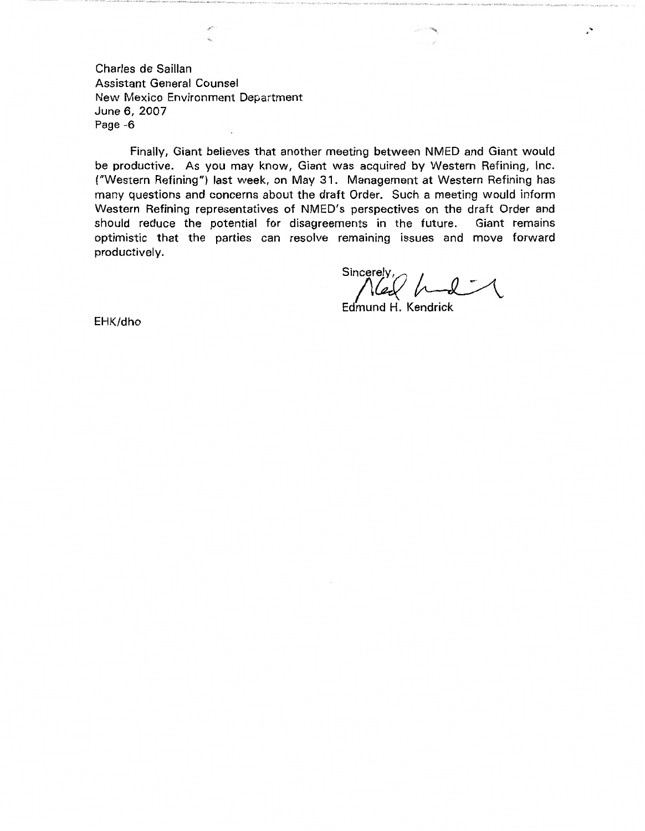Charles de Saillan Assistant General Counsel New Mexico Environment Department June 6, 2007 Page -6

Finally, Giant believes that another meeting between NMED and Giant would be productive. As you may know, Giant was acquired by Western Refining, Inc. ("Western Refining") last week, on May 31. Management at Western Refining has many questions and concerns about the draft Order. Such a meeting would inform Western Refining representatives of NMED's perspectives on the draft Order and should reduce the potential for disagreements in the future. Giant remains optimistic that the parties can resolve remaining issues and move forward productively.

Sincerely :<br>Sincerely :<br>Edmund H. Kendrick

 $\cdot$ 

Edmund H. Kendrick

EHK/dho